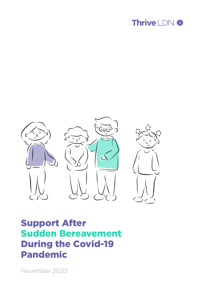



# Support After Sudden Bereavement During the Covid-19 Pandemic

November 2020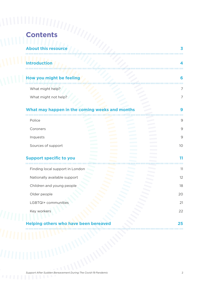| <b>Contents</b>                                |                                  |
|------------------------------------------------|----------------------------------|
| <b>About this resource</b>                     |                                  |
|                                                |                                  |
| <b>Introduction</b>                            |                                  |
|                                                |                                  |
| How you might be feeling                       |                                  |
| What might help?                               |                                  |
| What might not help?                           |                                  |
|                                                |                                  |
| What may happen in the coming weeks and months |                                  |
| Police                                         |                                  |
|                                                |                                  |
| Coroners                                       |                                  |
| Inquests                                       |                                  |
| Sources of support                             |                                  |
|                                                | 10<br>and the state of the state |
| <b>Support specific to you</b>                 |                                  |
| Finding local support in London                | 11                               |
| Nationally available support                   |                                  |
|                                                |                                  |
| Children and young people                      |                                  |
| Older people                                   |                                  |
| LGBTQI+ communities<br>Key workers             | 12<br>18<br>20<br>21<br>22       |

*Support After Sudden Bereavement During The Covid-19 Pandemic* 2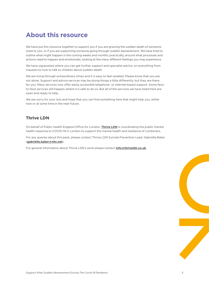# <span id="page-2-0"></span>**About this resource**

We have put this resource together to support you if you are grieving the sudden death of someone close to you, or if you are supporting someone going through sudden bereavement. We have tried to outline what might happen in the coming weeks and months; practically, around what processes and actions need to happen and emotionally, looking at the many different feelings you may experience.

We have signposted where you can get further support and specialist advice, on everything from inquests to how to talk to children about sudden death.

We are living through extraordinary times and it is easy to feel isolated. Please know that you are not alone. Support and advice services may be doing things a little differently, but they are there for you. Many services now offer easily accessible telephone- or internet-based support. Some faceto-face services still happen where it is safe to do so. But all of the services we have listed here are open and ready to help.

We are sorry for your loss and hope that you can find something here that might help you, either now or at some time in the near future.

#### **Thrive LDN**

On behalf of Public Health England Office for London, **[Thrive LDN](https://www.thriveldn.co.uk/)** is coordinating the public mental health response to COVID-19 in London to support the mental health and resilience of Londoners.

For any queries about this pack, please contact Thrive LDN Suicide Prevention Lead, Gabriella Baker (**[gabriella.baker@nhs.net](mailto:gabriella.baker@nhs.net)**).

For general information about Thrive LDN's work please contact **[info@thriveldn.co.uk](mailto:info@thriveldn.co.uk)**.

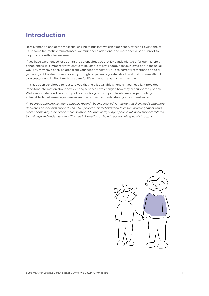# <span id="page-3-0"></span>**Introduction**

Bereavement is one of the most challenging things that we can experience, affecting every one of us. In some traumatic circumstances, we might need additional and more specialised support to help to cope with a bereavement.

If you have experienced loss during the coronavirus (COVID-19) pandemic, we offer our heartfelt condolences. It is immensely traumatic to be unable to say goodbye to your loved one in the usual way. You may have been isolated from your support network due to current restrictions on social gatherings. If the death was sudden, you might experience greater shock and find it more difficult to accept, due to limited time to prepare for life without the person who has died.

This has been developed to reassure you that help is available whenever you need it. It provides important information about how existing services have changed how they are supporting people. We have included dedicated support options for groups of people who may be particularly vulnerable, to help ensure you are aware of who can best understand your circumstances.

*If you are supporting someone who has recently been bereaved, it may be that they need some more dedicated or specialist support. LGBTQI+ people may feel excluded from family arrangements and older people may experience more isolation. Children and younger people will need support tailored to their age and understanding. This has information on how to access this specialist support.* 

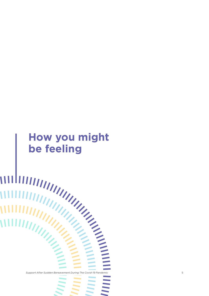# **How you might be feeling**

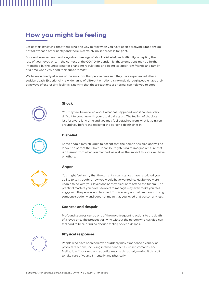# <span id="page-5-0"></span>**How you might be feeling**

Let us start by saying that there is no one way to feel when you have been bereaved. Emotions do not follow each other neatly and there is certainly no set process for grief.

Sudden bereavement can bring about feelings of shock, disbelief, and difficulty accepting the loss of your loved one. In the context of the COVID-19 pandemic, these emotions may be further intensified by the uncertainty of changing regulations and being isolated from friends and family at a time when you need their support most.

We have outlined just some of the emotions that people have said they have experienced after a sudden death. Experiencing a wide range of different emotions is normal, although people have their own ways of expressing feelings. Knowing that these reactions are normal can help you to cope.



#### **Shock**

You may feel bewildered about what has happened, and it can feel very difficult to continue with your usual daily tasks. The feeling of shock can last for a very long time and you may feel detached from what is going on around you before the reality of the person's death sinks in.



#### **Disbelief**

Some people may struggle to accept that the person has died and will no longer be part of their lives. It can be frightening to imagine a future that is different from what you planned, as well as the impact this loss will have on others.





You might feel angry that the current circumstances have restricted your ability to say goodbye how you would have wanted to. Maybe you were unable to be with your loved one as they died, or to attend the funeral. The practical matters you have been left to manage may even make you feel angry with the person who has died. This is a very normal reaction to losing someone suddenly and does not mean that you loved that person any less.



#### **Sadness and despair**

Profound sadness can be one of the more frequent reactions to the death of a loved one. The prospect of living without the person who has died can feel hard to bear, bringing about a feeling of deep despair.

#### **Physical responses**

People who have been bereaved suddenly may experience a variety of physical reactions, including intense headaches, upset stomachs, and feeling low. Your sleep and appetite may be disrupted, making it difficult to take care of yourself mentally and physically.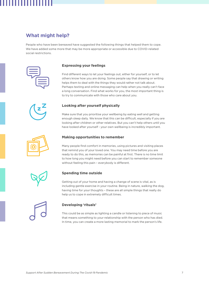## <span id="page-6-0"></span>**What might help?**

People who have been bereaved have suggested the following things that helped them to cope. We have added some more that may be more appropriate or accessible due to COVID-related social restrictions.



#### **Expressing your feelings**

Find different ways to let your feelings out, either for yourself, or to let others know how you are doing. Some people say that drawing or writing helps them to deal with the things they would rather not talk about. Perhaps texting and online messaging can help when you really can't face a long conversation. Find what works for you, the most important thing is to try to communicate with those who care about you.



#### **Looking after yourself physically**

Make sure that you prioritise your wellbeing by eating well and getting enough sleep daily. We know that this can be difficult, especially if you are looking after children or other relatives. But you can't help others until you have looked after yourself - your own wellbeing is incredibly important.



#### **Making opportunities to remember**

Many people find comfort in memories, using pictures and visiting places that remind you of your loved one. You may need time before you are ready to do this, as memories can be painful at first. There is no time limit to how long you might need before you can start to remember someone without feeling this pain – everybody is different.



#### **Spending time outside**

Getting out of your home and having a change of scene is vital, as is including gentle exercise in your routine. Being in nature, walking the dog, having time for your thoughts – these are all simple things that really do help us to cope in extremely difficult times.



#### **Developing 'rituals'**

This could be as simple as lighting a candle or listening to piece of music that means something to your relationship with the person who has died. In time, you can create a more lasting memorial to mark the person's life.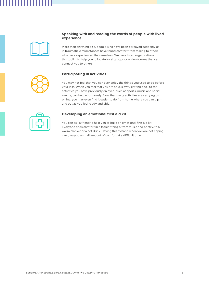

#### **Speaking with and reading the words of people with lived experience**

More than anything else, people who have been bereaved suddenly or in traumatic circumstances have found comfort from talking to others who have experienced the same loss. We have listed organisations in this toolkit to help you to locate local groups or online forums that can connect you to others.

#### **Participating in activities**

You may not feel that you can ever enjoy the things you used to do before your loss. When you feel that you are able, slowly getting back to the activities you have previously enjoyed, such as sports, music and social events, can help enormously. Now that many activities are carrying on online, you may even find it easier to do from home where you can dip in and out as you feel ready and able.



#### **Developing an emotional first aid kit**

You can ask a friend to help you to build an emotional first aid kit. Everyone finds comfort in different things, from music and poetry, to a warm blanket or a hot drink. Having this to hand when you are not coping can give you a small amount of comfort at a difficult time.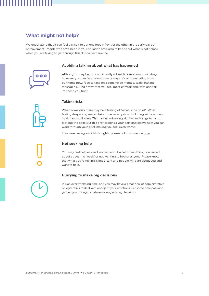## <span id="page-8-0"></span>**What might not help?**

We understand that it can feel difficult to put one foot in front of the other in the early days of bereavement. People who have been in your situation have also talked about what is not helpful when you are trying to get through this difficult experience.



#### **Avoiding talking about what has happened**

Although it may be difficult, it really is best to keep communicating however you can. We have so many ways of communicating from our home now; face to face on Zoom, voice memos, texts, instant messaging. Find a way that you feel most comfortable with and talk to those you trust.



#### **Taking risks**

When some dies there may be a feeling of "what is the point". When feeling desperate, we can take unnecessary risks, including with our own health and wellbeing. This can include using alcohol and drugs to try to blot out the pain. But this only prolongs your pain and delays how you can work through your grief, making you feel even worse.

If you are having suicidal thoughts, please talk to someone **[now](http://www.samaritans.org/how-we-can-help/contact-samaritan/talk-us-phone/)**.

#### **Not seeking help**

You may feel helpless and worried about what others think, concerned about appearing 'weak' or not wanting to bother anyone. Please know that what you're feeling is important and people will care about you and want to help.

#### **Hurrying to make big decisions**

It is an overwhelming time, and you may have a great deal of administrative or legal tasks to deal with on top of your emotions. Let some time pass and gather your thoughts before making any big decisions.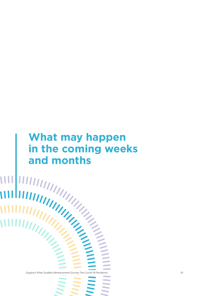# **What may happen in the coming weeks and months**

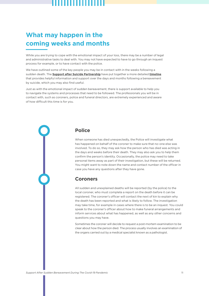# <span id="page-10-0"></span>**What may happen in the coming weeks and months**

While you are trying to cope with the emotional impact of your loss, there may be a number of legal and administrative tasks to deal with. You may not have expected to have to go through an inquest process for example, or to have contact with the police.

We have outlined some of the key people you may be in contact with in the weeks following a sudden death. The **[Support after Suicide Partnership](https://supportaftersuicide.org.uk/)** have put together a more detailed **[timeline](https://supportaftersuicide.org.uk/journey-days/)** that provides helpful information and support over the days and months following a bereavement by suicide, which you may also find useful.

Just as with the emotional impact of sudden bereavement, there is support available to help you to navigate the systems and processes that need to be followed. The professionals you will be in contact with, such as coroners, police and funeral directors, are extremely experienced and aware of how difficult this time is for you.

#### <span id="page-10-1"></span>**Police**

When someone has died unexpectedly, the Police will investigate what has happened on behalf of the coroner to make sure that no-one else was involved. To do so, they may ask how the person who has died was acting in the days and weeks before their death. They may also ask you to help them confirm the person's identity. Occasionally, the police may need to take personal items away as part of their investigation, but these will be returned. You might want to note down the name and contact number of the officer in case you have any questions after they have gone.

#### <span id="page-10-2"></span>**Coroners**

All sudden and unexplained deaths will be reported (by the police) to the local coroner, who must complete a report on the death before it can be registered. The coroner's officer will contact the next of kin to explain why the death has been reported and what is likely to follow. The investigation may take time, for example in cases where there is to be an inquest. You could speak to the coroner's officer about how to make funeral arrangements and inform services about what has happened, as well as any other concerns and questions you may have.

Sometimes the coroner will decide to request a post-mortem examination to be clear about how the person died. The process usually involves an examination of the organs carried out by a medical specialist known as a pathologist.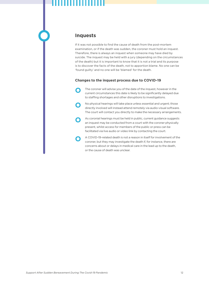#### <span id="page-11-0"></span>**Inquests**

If it was not possible to find the cause of death from the post-mortem examination, or if the death was sudden, the coroner must hold an inquest. Therefore, there is always an inquest when someone may have died by suicide. The inquest may be held with a jury (depending on the circumstances of the death) but it is important to know that it is not a trial and its purpose is to discover the facts of the death, not to apportion blame. No one can be 'found guilty' and no one will be 'blamed' for the death.

#### **Changes to the inquest process due to COVID-19**

**O** The coroner will advise you of the date of the inquest, however in the current circumstances this date is likely to be significantly delayed due to staffing shortages and other disruptions to investigations.

**O** No physical hearings will take place unless essential and urgent; those directly involved will instead attend remotely via audio-visual software. The court will contact you directly to make the necessary arrangements.

As coronial hearings must be held in public, current guidance suggests an inquest may be conducted from a court with the coroner physically present, whilst access for members of the public or press can be facilitated via live audio or video link by contacting the court.

**O** A COVID-19-related death is not a reason in itself for involvement of the coroner, but they may investigate the death if, for instance, there are concerns about or delays in medical care in the lead up to the death, or the cause of death was unclear.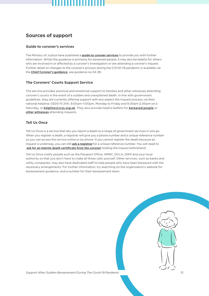## <span id="page-12-0"></span>**Sources of support**

#### **Guide to coroner's services**

The Ministry of Justice have published a **[guide to coroner services](https://www.gov.uk/government/publications/guide-to-coroner-services-and-coroner-investigations-a-short-guide)** to provide you with further information. Whilst the guidance is primarily for bereaved people, it may also be helpful for others who are involved in or affected by a coroner's investigation or are attending a coroner's inquest. Further detail on changes to the coroner's process during the COVID-19 pandemic is available via the **[Chief Coroner's guidance](https://www.judiciary.uk/related-offices-and-bodies/office-chief-coroner/guidance-law-sheets/coroners-guidance/)**, see guidance no.34-39.

#### **The Coroners' Courts Support Service**

The service provides practical and emotional support to families and other witnesses attending coroner's courts in the event of a sudden and unexplained death. In line with government guidelines, they are currently offering support with any aspect the inquest process via their national helpline: 0300 111 2141, 9:00am-7:00pm, Monday to Friday and 9.00am-2.00pm on a Saturday, or **[helpline@ccss.org.uk](mailto:helpline@ccss.org.uk)**. They also provide helpful leaflets for **[bereaved people](https://coronerscourtssupportservice.org.uk/wp-content/uploads/2019/07/69473_CCSS_Bereavement_6pp_DL_May_19_lr.pdf)** or **[other witnesses](https://coronerscourtssupportservice.org.uk/wp-content/uploads/2019/07/69473_CCSS_6pp_DL_Information_Leaflet_May_19_lr_1.pdf)** attending inquests.

#### **Tell Us Once**

Tell Us Once is a service that lets you report a death to a range of government services in one go. When you register a death, a registrar will give you a phone number and a unique reference number so you can access the service online or by phone. If you cannot register the death because an inquest is underway, you can still **[ask a registrar](https://www.gov.uk/register-offices)** for a unique reference number. You will need to **[ask for an interim death certificate from the coroner](https://www.gov.uk/after-a-death/when-a-death-is-reported-to-a-coroner)** holding the inquest beforehand.

Tell Us Once notify people such as the Passport Office, HMRC, DVLA, DWP and your local authority so that you don't have to make all those calls yourself. Other services, such as banks and utility companies, may also have dedicated staff to help people who have been bereaved with the necessary arrangements. For further information, try searching on the organisation's website for bereavement guidance, and a number for their bereavement team.

*Support After Sudden Bereavement During The Covid-19 Pandemic* 13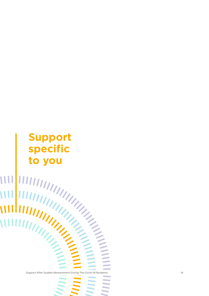# **Support specific**

**to you** *Support After Sudden Bereavement During The Covid-19 Pandemic* 14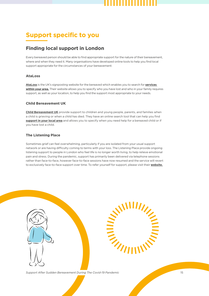# <span id="page-14-0"></span>**Support specific to you**

## <span id="page-14-1"></span>**Finding local support in London**

Every bereaved person should be able to find appropriate support for the nature of their bereavement, where and when they need it. Many organisations have developed online tools to help you find local support appropriate for the circumstances of your bereavement:

#### **AtaLoss**

**[AtaLoss](https://www.ataloss.org/Pages/FAQs/Category/organisations-that-can-help?Take=24)** is the UK's signposting website for the bereaved which enables you to search for **[services](https://www.ataloss.org/Pages/FAQs/Category/organisations-that-can-help?Take=24)  [within your area](https://www.ataloss.org/Pages/FAQs/Category/organisations-that-can-help?Take=24).** Their website allows you to specify who you have lost and who in your family requires support, as well as your location, to help you find the support most appropriate to your needs.

#### **Child Bereavement UK**

**[Child Bereavement UK](https://www.childbereavementuk.org/)** provide support to children and young people, parents, and families when a child is grieving or when a child has died. They have an online search tool that can help you find **[support in your local area](https://directory.childbereavementuk.org/)** and allows you to specify when you need help for a bereaved child or if you have lost a child.

#### **The Listening Place**

Sometimes grief can feel overwhelming, particularly if you are isolated from your usual support network or are having difficulty coming to terms with your loss. The Listening Place provide ongoing listening support to people in London who feel life is no longer worth living, to help relieve emotional pain and stress. During the pandemic, support has primarily been delivered via telephone sessions rather than face-to-face, however face-to-face sessions have now resumed and the service will revert to exclusively face-to-face support over time. To refer yourself for support, please visit their **[website.](https://listeningplace.org.uk/i-need-help/)**



*Support After Sudden Bereavement During The Covid-19 Pandemic* 15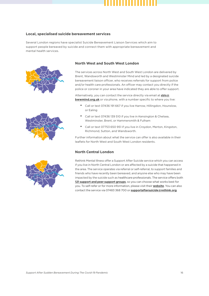#### **Local, specialised suicide bereavement services**

Several London regions have specialist Suicide Bereavement Liaison Services which aim to support people bereaved by suicide and connect them with appropriate bereavement and mental health services.





#### **North West and South West London**

The services across North West and South West London are delivered by Brent, Wandsworth and Westminster Mind and led by a designated suicide bereavement liaison officer, who receives referrals for support from police and/or health care professionals. An officer may contact you directly if the police or coroner in your area have indicated they are able to offer support.

Alternatively, you can contact the service directly via email at **sbls@ bwwmind.org.uk** or via phone, with a number specific to where you live:

- Call or text 07436 191 667 if you live Harrow, Hillingdon, Hounslow, or Ealing
- Call or text 07436 139 510 if you live in Kensington & Chelsea, Westminster, Brent, or Hammersmith & Fulham
- Call or text 07753 650 951 if you live in Croydon, Merton, Kingston, Richmond, Sutton, and Wandsworth.

Further information about what the service can offer is also available in their leaflets for North West and South West London residents.

#### **North Central London**



Rethink Mental Illness offer a Support After Suicide service which you can access if you live in North Central London or are affected by a suicide that happened in the area. The service operates via referral or self-referral, to support families and friends who have recently been bereaved, and anyone else who may have been impacted by the suicide such as healthcare professionals. The service offers both **[121 support and peer support groups](https://www.rethink.org/media/4027/ncl-support-after-suicide-leaflet.pdf)**, so you can choose what works best for you. To self-refer or for more information, please visit their **[website](https://www.rethink.org/aboutus/what-we-do/our-services-and-groups/ncl-support-after-suicide/)**. You can also contact the service via 07483 368 700 or **[supportaftersuicide@rethink.org](mailto:supportaftersuicide@rethink.org)**.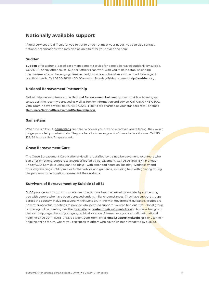## <span id="page-16-0"></span>**Nationally available support**

If local services are difficult for you to get to or do not meet your needs, you can also contact national organisations who may also be able to offer you advice and help:

#### **Sudden**

**[Sudden](https://sudden.org/)** offer a phone-based case management service for people bereaved suddenly by suicide, COVID-19, or any other cause. Support officers can work with you to help establish coping mechanisms after a challenging bereavement, provide emotional support, and address urgent practical needs. Call 0800 2600 400, 10am-4pm Monday-Friday or email **[help@sudden.org](mailto:help@sudden.org).**

#### **National Bereavement Partnership**

Skilled helpline volunteers at the **[National Bereavement Partnership](https://www.nationalbereavementpartnership.org/?fbclid=IwAR14mnpUcSruz5X92Pe57IQDBR9Z5WscdhsZhwQC3zJZBEOOhNgh8dC5B_c)** can provide a listening ear to support the recently bereaved as well as further information and advice. Call 0800 448 0800, 7am-10pm 7 days a week, text 07860 022 814 (texts are charged at your standard rate), or email **[Helpline@NationalBereavementPartnership.org](mailto:Helpline@NationalBereavementPartnership.org).**

#### **Samaritans**

When life is difficult, **[Samaritans](https://www.samaritans.org/)** are here. Whoever you are and whatever you're facing, they won't judge you or tell you what to do. They are here to listen so you don't have to face it alone. Call 116 123, 24 hours a day, 7 days a week.

#### **Cruse Bereavement Care**

The Cruse Bereavement Care National Helpline is staffed by trained bereavement volunteers who can offer emotional support to anyone affected by bereavement. Call 0808 808 1677, Monday-Friday 9.30-5pm (excluding bank holidays), with extended hours on Tuesday, Wednesday and Thursday evenings until 8pm. For further advice and guidance, including help with grieving during the pandemic or in isolation, please visit their **[website](https://www.cruse.org.uk/)**.

#### **Survivors of Bereavement by Suicide (SoBS)**

**[SoBS](https://uksobs.org/)** provide support to individuals over 18 who have been bereaved by suicide, by connecting you with people who have been bereaved under similar circumstances. They have support groups across the country, including several within London. In line with government guidance, groups are now offering virtual meetings to provide vital peer-led support. You can find out if your local group is offering online meetings via their **[website](https://uksobs.org/we-can-help/local-support-groups/find/?doing_wp_cron=1603382201.1078469753265380859375)**, or **[contact their national office](https://uksobs.org/contact/?doing_wp_cron=1592401426.2225899696350097656250)** to find a virtual group that can help, regardless of your geographical location. Alternatively, you can call their national helpline on 0300 111 5065, 7 days a week, 9am-9pm, email **[email.support@uksobs.org](mailto:email.support@uksobs.org)** or use their helpline online forum, where you can speak to others who have also been impacted by suicide.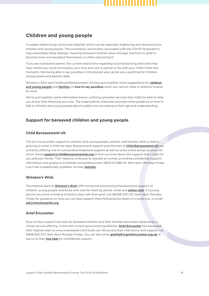## <span id="page-17-0"></span>**Children and young people**

A sudden death brings shock and disbelief, which can be especially frightening and distressing for children and young people. The uncertainty and anxiety associated with the COVID-19 pandemic may exacerbate these feelings, meaning bereaved children show stronger reactions to grief or become more worried about themselves or others becoming ill.

If you are a bereaved parent, the current restrictions regarding social distancing and travel may have meant you could not express your love and care in person or be with your child in their last moments. Not being able to say goodbye in the desired way can be very upsetting for children, young people and parents alike.

Winston's Wish and Childhood Bereavement UK have put together some suggestions for **[children](https://www.winstonswish.org/coronavirus-funerals-alternative-goodbyes/)  [and young people](https://www.winstonswish.org/coronavirus-funerals-alternative-goodbyes/)** and **[families](https://www.childbereavementuk.org/holding-a-funeral-when-you-cannot-meet-ideas-for-families)** on **how to say goodbye** when you cannot meet or attend a funeral as usual.

We've put together some information below, outlining specialist services that might be able to help you at any time following your loss. The organisations listed also provide online guidance on how to talk to children and young people about sudden loss according to their age and understanding.

#### **Support for bereaved children and young people**

#### **Child Bereavement UK**

The service provides support to children and young people, parents, and families when a child is grieving or when a child has died. Bereavement support practitioners at **[Child Bereavement UK](https://www.childbereavementuk.org/)** are currently offering one-to-one booked telephone support as well as some online group sessions via Zoom. Email **[support@childbereavementuk.org](mailto:support@childbereavementuk.org)** to find out more about the support that's right for you and your family. Their helpline continues to operate as normal, providing confidential support, information and guidance to families and professionals: 0800 02 888 40, 9am-5pm, Monday-Friday. Live Chat is additionally available via their **[website](http://www.childbereavementuk.org/)**.

#### **Winston's Wish**

The helpline team at **[Winston's Wish](https://www.winstonswish.org/)** offer emotional and practical bereavement support to children, young people and those who care for them by phone, email and **[online chat](https://www.winstonswish.org/online-chat/)**. If a young person you know is finding it hard to cope with their grief, call 08088 020 021, 9am-5pm, Monday-Friday for guidance on how you can best support them following the death of a loved one, or email **[ask@winstonswish.org](mailto:ask@winstonswish.org)**.

#### **Grief Encounter**

Face-to-face support services for bereaved children and their families have been replaced by a virtual service offering, in line with current government guidelines. **[Grief Encounter](https://www.griefencounter.org.uk/)** has expanded their helpline team to ensure bereaved individuals can still access their vital advice and support, via 0808 802 0111, 9am-9pm Monday-Friday. You can also email **[grieftalk@griefencounter.org.uk](mailto:grieftalk@griefencounter.org.uk)** or log on to their **[live chat](http://www.griefencounter.org.uk/)** for confidential support.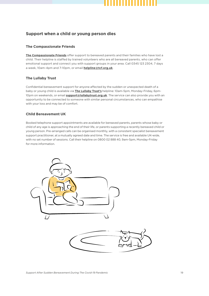

#### **Support when a child or young person dies**

#### **The Compassionate Friends**

**[The Compassionate Friends](https://www.tcf.org.uk/)** offer support to bereaved parents and their families who have lost a child. Their helpline is staffed by trained volunteers who are all bereaved parents, who can offer emotional support and connect you with support groups in your area. Call 0345 123 2304, 7 days a week, 10am-4pm and 7-10pm, or email **[helpline@tcf.org.uk](mailto:helpline@tcf.org.uk)**.

#### **The Lullaby Trust**

Confidential bereavement support for anyone affected by the sudden or unexpected death of a baby or young child is available via **[The Lullaby Trust's](https://www.lullabytrust.org.uk/bereavement-support/)** helpline: 10am-5pm, Monday-Friday, 6pm-10pm on weekends, or email **[support@lullabytrust.org.uk](mailto:support@lullabytrust.org.uk)**. The service can also provide you with an opportunity to be connected to someone with similar personal circumstances, who can empathise with your loss and may be of comfort.

#### **Child Bereavement UK**

Booked telephone support appointments are available for bereaved parents, parents whose baby or child of any age is approaching the end of their life, or parents supporting a recently bereaved child or young person. Pre-arranged calls can be organised monthly, with a consistent specialist bereavement support practitioner, at a mutually agreed date and time. The service is free and available UK-wide, with no set number of sessions. Call their helpline on 0800 02 888 40, 9am-5pm, Monday-Friday for more information.

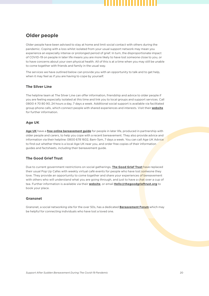### <span id="page-19-0"></span>**Older people**

Older people have been advised to stay at home and limit social contact with others during the pandemic. Coping with a loss whilst isolated from your usual support network may mean you experience an especially intense or prolonged period of grief. In turn, the disproportionate impact of COVID-19 on people in later life means you are more likely to have lost someone close to you, or to have concerns about your own physical health. All of this is at a time when you may still be unable to come together with friends and family in the usual way.

The services we have outlined below can provide you with an opportunity to talk and to get help, when it may feel as if you are having to cope by yourself.

#### **The Silver Line**

The helpline team at The Silver Line can offer information, friendship and advice to older people if you are feeling especially isolated at this time and link you to local groups and support services. Call 0800 4 70 80 90, 24 hours a day, 7 days a week. Additional social support is available via facilitated group phone calls, which connect people with shared experiences and interests. Visit their **[website](https://www.thesilverline.org.uk/)** for further information.

#### **Age UK**

**[Age UK](http://www.ageuk.org.uk)** have a **[free online bereavement guide](https://www.ageuk.org.uk/globalassets/age-uk/documents/information-guides/ageukig32_bereavement_inf.pdf)** for people in later life, produced in partnership with older people and carers, to help you cope with a recent bereavement. They also provide advice and information via their helpline: 0800 678 1602, 8am-7pm, 7 days a week. You can call Age UK Advice to find out whether there is a local Age UK near you, and order free copies of their information guides and factsheets, including their bereavement guide.

#### **The Good Grief Trust**

Due to current government restrictions on social gatherings, **[The Good Grief Trust](https://www.thegoodgrieftrust.org/)** have replaced their usual Pop Up Cafes with weekly virtual café events for people who have lost someone they love. They provide an opportunity to come together and share your experiences of bereavement with others who will understand what you are going through, and just to have a chat over a cup of tea. Further information is available via their **[website](https://www.thegoodgrieftrust.org/need-know-info/from-us-to-you/pop-up-good-grief-cafes/)**, or email **[Hello@thegoodgrieftrust.org](mailto:Hello@thegoodgrieftrust.org)** to book your place.

#### **Gransnet**

Gransnet, a social networking site for the over 50s, has a dedicated **[Bereavement Forum](https://www.gransnet.com/forums/bereavement)** which may be helpful for connecting individuals who have lost a loved one.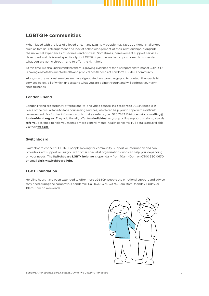## <span id="page-20-0"></span>**LGBTQI+ communities**

When faced with the loss of a loved one, many LGBTQI+ people may face additional challenges such as familial estrangement or a lack of acknowledgement of their relationships, alongside the universal experiences of sadness and distress. Sometimes, bereavement support services developed and delivered specifically for LGBTQI+ people are better positioned to understand what you are going through and to offer the right help.

At this time, we also understand that there is growing evidence of the disproportionate impact COVID-19 is having on both the mental health and physical health needs of London's LGBTQI+ community.

Alongside the national services we have signposted, we would urge you to contact the specialist services below, all of which understand what you are going through and will address your very specific needs.

#### **London Friend**

London Friend are currently offering one-to-one video counselling sessions to LGBTQ people in place of their usual face-to-face counselling services, which can help you to cope with a difficult bereavement. For further information or to make a referral, call 020 7833 1674 or email **[counselling@](mailto:counselling@londonfriend.org.uk) [londonfriend.org.uk](mailto:counselling@londonfriend.org.uk)**. They additionally offer free **[individual](https://londonfriend.org.uk/one-to-one-support/)** or **[group](https://londonfriend.org.uk/the-lockdown-remedy-group/)** online support sessions, also via **[referral](https://londonfriend.org.uk/lockdown-support-referral/)**, designed to help you manage more general mental health concerns. Full details are available via their **[website](https://londonfriend.org.uk/the-lockdown-remedy-group/)**.

#### **Switchboard**

Switchboard connect LGBTQI+ people looking for community, support or information and can provide direct support or link you with other specialist organisations who can help you, depending on your needs. The **[Switchboard LGBT+ helpline](https://switchboard.lgbt/contact/)** is open daily from 10am-10pm on 0300 330 0630 or email **[chris@switchboard.lgbt](mailto:chris@switchboard.lgbt)**.

#### **LGBT Foundation**

Helpline hours have been extended to offer more LGBTQ+ people the emotional support and advice they need during the coronavirus pandemic. Call 0345 3 30 30 30, 9am-9pm, Monday-Friday, or 10am-6pm on weekends.

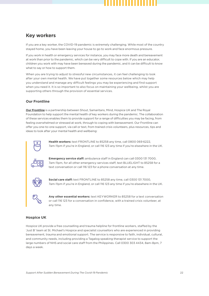#### <span id="page-21-0"></span>**Key workers**

If you are a key worker, the COVID-19 pandemic is extremely challenging. While most of the country stayed home, you have been leaving your house to go to work and face enormous pressure.

If you work in health or emergency services for instance, you may face more death and bereavement at work than prior to the pandemic, which can be very difficult to cope with. If you are an educator, children you work with may have been bereaved during the pandemic, and it can be difficult to know what to say or how to support them.

When you are trying to adjust to stressful new circumstances, it can feel challenging to look after your own mental health. We have put together some resources below which may help you understand and manage any difficult feelings you may be experiencing and find support when you need it. It is so important to also focus on maintaining your wellbeing, whilst you are supporting others through the provision of essential services.

#### **Our Frontline**

**[Our Frontline](https://www.mentalhealthatwork.org.uk/ourfrontline/)** is a partnership between Shout, Samaritans, Mind, Hospice UK and The Royal Foundation to help support the mental health of key workers during the pandemic. The collaboration of these services enables them to provide support for a range of difficulties you may be facing, from feeling overwhelmed or stressed at work, through to coping with bereavement. Our Frontline can offer you one-to-one support, via call or text, from trained crisis volunteers, plus resources, tips and ideas to look after your mental health and wellbeing:



**Health workers:** text FRONTLINE to 85258 any time, call 0800 069 6222, 7am-11pm if you're in England, or call 116 123 any time if you're elsewhere in the UK.



**Emergency service staff:** ambulance staff in England can call 0300 131 7000, 7am-11pm, for all other emergency services staff, text BLUELIGHT to 85258 for a text conversation or call 116 123 for a phone conversation at any time.



**Social care staff:** text FRONTLINE to 85258 any time, call 0300 131 7000, 7am-11pm if you're in England, or call 116 123 any time if you're elsewhere in the UK.

**Any other essential workers:** text KEYWORKER to 85258 for a text conversation or call 116 123 for a conversation in confidence, with a trained crisis volunteer, at any time.

#### **Hospice UK**

Hospice UK provide a free counselling and trauma helpline for frontline workers, staffed by the 'Just B' team at St. Michael's Hospice and specialist counsellors who are experienced in providing bereavement, trauma and emotional support. The service is responsive to faith, individual, cultural, and community needs, including providing a Tagalog speaking therapist service to support the large numbers of NHS and social care staff from the Philippines. Call 0300 303 4434, 8am-8pm, 7 days a week.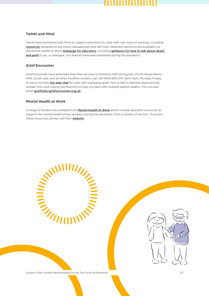#### **Twinkl and Mind**

Twinkl have partnered with Mind to support educators to cope with new ways of working, including **[resources](https://www.twinkl.co.uk/resources/twinkl-partnerships/mind-partnerships/teacher-wellbeing-during-school-closure-mind-partnerships?utm_source=referral&utm_medium=social&utm_campaign=partnerships-ourfrontline)** designed to aid stress management and self-care. Selected resources are available via the Mental Health at Work **[webpage for educators](https://www.mentalhealthatwork.org.uk/toolkit/ourfrontline-education/?utm_source=referral&utm_medium=social&utm_campaign=partnerships-ourfrontline)**, including **[guidance for how to talk about death](https://cdn.mentalhealthatwork.org.uk/wp-content/uploads/2020/04/17122005/Dying-Matters-Our-Frontline-v3.pdf)  [and grief](https://cdn.mentalhealthatwork.org.uk/wp-content/uploads/2020/04/17122005/Dying-Matters-Our-Frontline-v3.pdf)** if you, a colleague, or a learner have been bereaved during the pandemic.

#### **Grief Encounter**

Grief Encounter have extended their free services to frontline staff during the COVID-19 pandemic. NHS, social care, and all other frontline workers can call 0808 802 0111, 9am-9pm, Monday-Friday, or log on to their **[live web chat](https://www.griefencounter.org.uk/)** for help with managing grief, how to talk to families experiencing sudden loss, and coping mechanisms to help you deal with multiple patient deaths. You can also email **[grieftalk@griefencounter.org.uk](mailto:grieftalk@griefencounter.org.uk)**.

#### **Mental Health at Work**

A range of toolkits are available from **[Mental Health at Work](https://www.mentalhealthatwork.org.uk/)** which include specialist resources to support the mental health of key workers during the pandemic, from a variety of sectors. To access these resources, please visit their **[website](https://www.mentalhealthatwork.org.uk/toolkit/)**.

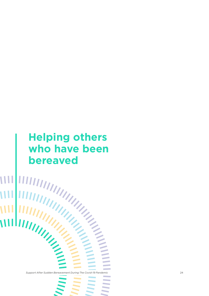# **Helping others who have been bereaved**

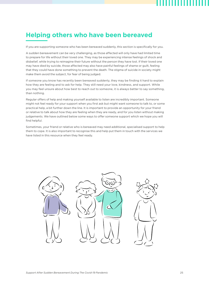## <span id="page-24-0"></span>**Helping others who have been bereaved**

If you are supporting someone who has been bereaved suddenly, this section is specifically for you.

A sudden bereavement can be very challenging, as those affected will only have had limited time to prepare for life without their loved one. They may be experiencing intense feelings of shock and disbelief, while trying to reimagine their future without the person they have lost. If their loved one may have died by suicide, those affected may also have painful feelings of shame or guilt, feeling that they could have done something to prevent the death. The stigma of suicide in society might make them avoid the subject, for fear of being judged.

If someone you know has recently been bereaved suddenly, they may be finding it hard to explain how they are feeling and to ask for help. They still need your love, kindness, and support. While you may feel unsure about how best to reach out to someone, it is always better to say something, than nothing.

Regular offers of help and making yourself available to listen are incredibly important. Someone might not feel ready for your support when you first ask but might want someone to talk to, or some practical help, a bit further down the line. It is important to provide an opportunity for your friend or relative to talk about how they are feeling when they are ready, and for you listen without making judgements. We have outlined below some ways to offer someone support which we hope you will find helpful.

Sometimes, your friend or relative who is bereaved may need additional, specialised support to help them to cope. It is also important to recognise this and help put them in touch with the services we have listed in this resource when they feel ready.

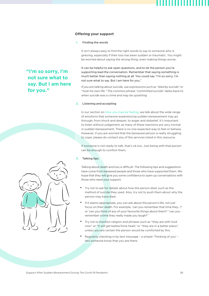#### **Offering your support**

#### 1. Finding the words

It isn't always easy to find the right words to say to someone who is grieving, especially if their loss has been sudden or traumatic. You might be worried about saying the wrong thing, even making things worse.

It can be helpful to ask open questions, and to let the person you're supporting lead the conversation. Remember that saying something is much better than saying nothing at all. You could say "I'm so sorry, I'm not sure what to say. But I am here for you."

*If you are talking about suicide, use expressions such as "died by suicide" or "took his own life." The common phrase "committed suicide" dates back to when suicide was a crime and may be upsetting.*

#### 2. Listening and accepting

In our section on [How you may be feeling,](#page-5-0) we talk about the wide range of emotions that someone experiencing sudden bereavement may go through; from shock and despair, to anger and disbelief. It's important to listen without judgement, as many of these reactions are very normal in sudden bereavement. There is no one expected way to feel or behave. However, if you are worried that the bereaved person is really struggling to cope, please do contact any of the services listed in this resource.

If someone is not ready to talk, that's ok too. Just being with that person can be enough to comfort them.

#### 3. Talking tips

Talking about death and loss is difficult. The following tips and suggestions have come from bereaved people and those who have supported them. We hope that they will give you some confidence to open up conversations with those who need your support.

- Try not to ask for details about how the person died, such as the method of suicide they used. Also, try not to push them about why the person may have died.
- If it seems appropriate, you can ask about the person's life, not just focus on their death. For example, 'can you remember that time they…?' or 'can you think of any of your favourite things about them?' "can you remember a time they really made you laugh?"
- Try not to mention religion and phrases such as "they are with God now" or "It will get better/time heals" or "they are in a better place", unless you are certain the person would be comforted by this.
- Regularly checking in by text message a simple 'Thinking of you' lets someone know that you are there.



**"I'm so sorry, I'm not sure what to say. But I am here** 

**for you."**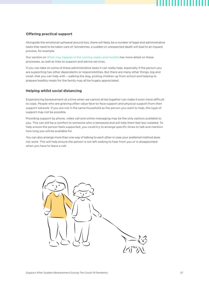#### **Offering practical support**

Alongside the emotional upheaval around loss, there will likely be a number of legal and administrative tasks that need to be taken care of. Sometimes, a sudden or unexpected death will lead to an inquest process, for example.

Our section on [What may happen in the coming weeks and months](#page-10-0) has more detail on these processes, as well as links to support and advice services.

If you can take on some of these administrative tasks it can really help, especially if the person you are supporting has other dependents or responsibilities. But there are many other things, big and small, that you can help with – walking the dog, picking children up from school and helping to prepare healthy meals for the family may all be hugely appreciated.

#### **Helping whilst social distancing**

Experiencing bereavement at a time when we cannot all be together can make it even more difficult to cope. People who are grieving often value face-to-face support and physical support from their support network. If you are not in the same household as the person you want to help, this type of support may not be possible.

Providing support by phone, video call and online messaging may be the only options available to you. This can still be a comfort to someone who is bereaved and will help them feel less isolated. To help ensure the person feels supported, you could try to arrange specific times to talk and mention how long you will be available for.

You can also arrange more than one way of talking to each other in case your preferred method does not work. This will help ensure the person is not left waiting to hear from you or is disappointed when you have to leave a call.

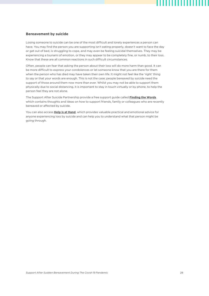#### **Bereavement by suicide**

Losing someone to suicide can be one of the most difficult and lonely experiences a person can have. You may find the person you are supporting isn't eating properly, doesn't want to face the day or get out of bed, is struggling to cope, and may even be feeling suicidal themselves. They may be experiencing a tsunami of emotion, or they may appear to be completely fine, or numb, to their loss. Know that these are all common reactions in such difficult circumstances.

Often, people can fear that asking the person about their loss will do more harm than good. It can be more difficult to express your condolences or let someone know that you are there for them when the person who has died may have taken their own life. It might not feel like the 'right' thing to say or that your words are enough. This is not the case; people bereaved by suicide need the support of those around them now more than ever. Whilst you may not be able to support them physically due to social distancing, it is important to stay in touch virtually or by phone, to help the person feel they are not alone.

The Support After Suicide Partnership provide a free support guide called **[Finding the Words](https://supportaftersuicide.org.uk/resource/finding-the-words/)** which contains thoughts and ideas on how to support friends, family or colleagues who are recently bereaved or affected by suicide.

You can also access **[Help is at Hand](https://supportaftersuicide.org.uk/resource/help-is-at-hand/)**, which provides valuable practical and emotional advice for anyone experiencing loss by suicide and can help you to understand what that person might be going through.

,,,,,,,,,